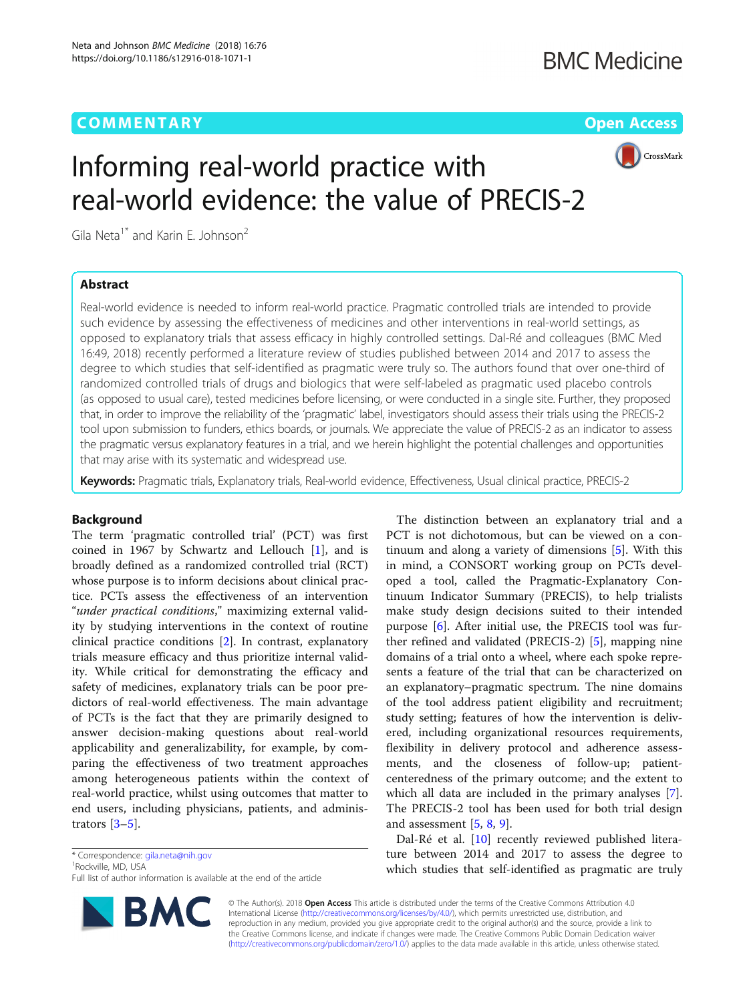# **COMMENTARY** COMMENTARY **COMMENTARY**



# Informing real-world practice with real-world evidence: the value of PRECIS-2

Gila Neta<sup>1\*</sup> and Karin E. Johnson<sup>2</sup>

# Abstract

Real-world evidence is needed to inform real-world practice. Pragmatic controlled trials are intended to provide such evidence by assessing the effectiveness of medicines and other interventions in real-world settings, as opposed to explanatory trials that assess efficacy in highly controlled settings. Dal-Ré and colleagues (BMC Med 16:49, 2018) recently performed a literature review of studies published between 2014 and 2017 to assess the degree to which studies that self-identified as pragmatic were truly so. The authors found that over one-third of randomized controlled trials of drugs and biologics that were self-labeled as pragmatic used placebo controls (as opposed to usual care), tested medicines before licensing, or were conducted in a single site. Further, they proposed that, in order to improve the reliability of the 'pragmatic' label, investigators should assess their trials using the PRECIS-2 tool upon submission to funders, ethics boards, or journals. We appreciate the value of PRECIS-2 as an indicator to assess the pragmatic versus explanatory features in a trial, and we herein highlight the potential challenges and opportunities that may arise with its systematic and widespread use.

Keywords: Pragmatic trials, Explanatory trials, Real-world evidence, Effectiveness, Usual clinical practice, PRECIS-2

## Background

The term 'pragmatic controlled trial' (PCT) was first coined in 1967 by Schwartz and Lellouch [\[1](#page-2-0)], and is broadly defined as a randomized controlled trial (RCT) whose purpose is to inform decisions about clinical practice. PCTs assess the effectiveness of an intervention "under practical conditions," maximizing external validity by studying interventions in the context of routine clinical practice conditions [\[2](#page-2-0)]. In contrast, explanatory trials measure efficacy and thus prioritize internal validity. While critical for demonstrating the efficacy and safety of medicines, explanatory trials can be poor predictors of real-world effectiveness. The main advantage of PCTs is the fact that they are primarily designed to answer decision-making questions about real-world applicability and generalizability, for example, by comparing the effectiveness of two treatment approaches among heterogeneous patients within the context of real-world practice, whilst using outcomes that matter to end users, including physicians, patients, and administrators  $[3-5]$  $[3-5]$  $[3-5]$  $[3-5]$ .

\* Correspondence: [gila.neta@nih.gov](mailto:gila.neta@nih.gov) <sup>1</sup>

<sup>1</sup> Rockville, MD, USA

Full list of author information is available at the end of the article



The distinction between an explanatory trial and a PCT is not dichotomous, but can be viewed on a continuum and along a variety of dimensions [[5](#page-2-0)]. With this in mind, a CONSORT working group on PCTs developed a tool, called the Pragmatic-Explanatory Continuum Indicator Summary (PRECIS), to help trialists make study design decisions suited to their intended purpose [[6\]](#page-2-0). After initial use, the PRECIS tool was further refined and validated (PRECIS-2) [\[5](#page-2-0)], mapping nine domains of a trial onto a wheel, where each spoke represents a feature of the trial that can be characterized on an explanatory–pragmatic spectrum. The nine domains of the tool address patient eligibility and recruitment; study setting; features of how the intervention is delivered, including organizational resources requirements, flexibility in delivery protocol and adherence assessments, and the closeness of follow-up; patientcenteredness of the primary outcome; and the extent to which all data are included in the primary analyses [\[7](#page-2-0)]. The PRECIS-2 tool has been used for both trial design and assessment  $[5, 8, 9]$  $[5, 8, 9]$  $[5, 8, 9]$  $[5, 8, 9]$  $[5, 8, 9]$  $[5, 8, 9]$ .

Dal-Ré et al. [[10](#page-2-0)] recently reviewed published literature between 2014 and 2017 to assess the degree to which studies that self-identified as pragmatic are truly

© The Author(s). 2018 Open Access This article is distributed under the terms of the Creative Commons Attribution 4.0 International License [\(http://creativecommons.org/licenses/by/4.0/](http://creativecommons.org/licenses/by/4.0/)), which permits unrestricted use, distribution, and reproduction in any medium, provided you give appropriate credit to the original author(s) and the source, provide a link to the Creative Commons license, and indicate if changes were made. The Creative Commons Public Domain Dedication waiver [\(http://creativecommons.org/publicdomain/zero/1.0/](http://creativecommons.org/publicdomain/zero/1.0/)) applies to the data made available in this article, unless otherwise stated.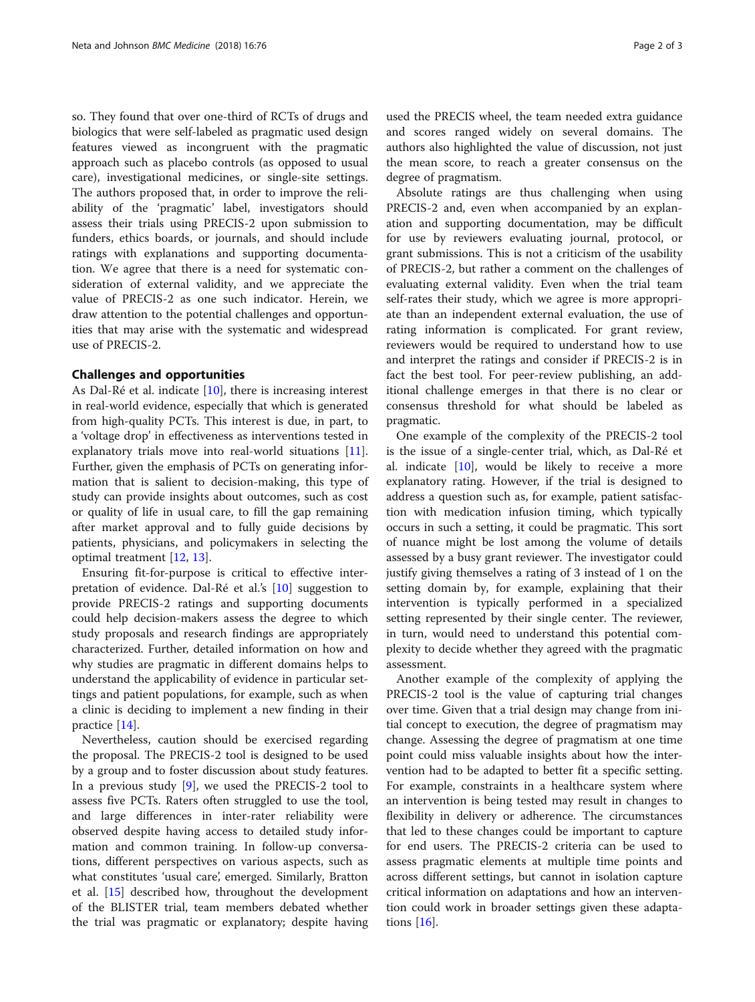so. They found that over one-third of RCTs of drugs and biologics that were self-labeled as pragmatic used design features viewed as incongruent with the pragmatic approach such as placebo controls (as opposed to usual care), investigational medicines, or single-site settings. The authors proposed that, in order to improve the reliability of the 'pragmatic' label, investigators should assess their trials using PRECIS-2 upon submission to funders, ethics boards, or journals, and should include ratings with explanations and supporting documentation. We agree that there is a need for systematic consideration of external validity, and we appreciate the value of PRECIS-2 as one such indicator. Herein, we draw attention to the potential challenges and opportunities that may arise with the systematic and widespread use of PRECIS-2.

## Challenges and opportunities

As Dal-Ré et al. indicate [\[10](#page-2-0)], there is increasing interest in real-world evidence, especially that which is generated from high-quality PCTs. This interest is due, in part, to a 'voltage drop' in effectiveness as interventions tested in explanatory trials move into real-world situations [\[11](#page-2-0)]. Further, given the emphasis of PCTs on generating information that is salient to decision-making, this type of study can provide insights about outcomes, such as cost or quality of life in usual care, to fill the gap remaining after market approval and to fully guide decisions by patients, physicians, and policymakers in selecting the optimal treatment [[12,](#page-2-0) [13\]](#page-2-0).

Ensuring fit-for-purpose is critical to effective interpretation of evidence. Dal-Ré et al.'s [[10\]](#page-2-0) suggestion to provide PRECIS-2 ratings and supporting documents could help decision-makers assess the degree to which study proposals and research findings are appropriately characterized. Further, detailed information on how and why studies are pragmatic in different domains helps to understand the applicability of evidence in particular settings and patient populations, for example, such as when a clinic is deciding to implement a new finding in their practice [\[14\]](#page-2-0).

Nevertheless, caution should be exercised regarding the proposal. The PRECIS-2 tool is designed to be used by a group and to foster discussion about study features. In a previous study [[9\]](#page-2-0), we used the PRECIS-2 tool to assess five PCTs. Raters often struggled to use the tool, and large differences in inter-rater reliability were observed despite having access to detailed study information and common training. In follow-up conversations, different perspectives on various aspects, such as what constitutes 'usual care', emerged. Similarly, Bratton et al. [\[15](#page-2-0)] described how, throughout the development of the BLISTER trial, team members debated whether the trial was pragmatic or explanatory; despite having

used the PRECIS wheel, the team needed extra guidance and scores ranged widely on several domains. The authors also highlighted the value of discussion, not just the mean score, to reach a greater consensus on the degree of pragmatism.

Absolute ratings are thus challenging when using PRECIS-2 and, even when accompanied by an explanation and supporting documentation, may be difficult for use by reviewers evaluating journal, protocol, or grant submissions. This is not a criticism of the usability of PRECIS-2, but rather a comment on the challenges of evaluating external validity. Even when the trial team self-rates their study, which we agree is more appropriate than an independent external evaluation, the use of rating information is complicated. For grant review, reviewers would be required to understand how to use and interpret the ratings and consider if PRECIS-2 is in fact the best tool. For peer-review publishing, an additional challenge emerges in that there is no clear or consensus threshold for what should be labeled as pragmatic.

One example of the complexity of the PRECIS-2 tool is the issue of a single-center trial, which, as Dal-Ré et al. indicate  $[10]$  $[10]$  $[10]$ , would be likely to receive a more explanatory rating. However, if the trial is designed to address a question such as, for example, patient satisfaction with medication infusion timing, which typically occurs in such a setting, it could be pragmatic. This sort of nuance might be lost among the volume of details assessed by a busy grant reviewer. The investigator could justify giving themselves a rating of 3 instead of 1 on the setting domain by, for example, explaining that their intervention is typically performed in a specialized setting represented by their single center. The reviewer, in turn, would need to understand this potential complexity to decide whether they agreed with the pragmatic assessment.

Another example of the complexity of applying the PRECIS-2 tool is the value of capturing trial changes over time. Given that a trial design may change from initial concept to execution, the degree of pragmatism may change. Assessing the degree of pragmatism at one time point could miss valuable insights about how the intervention had to be adapted to better fit a specific setting. For example, constraints in a healthcare system where an intervention is being tested may result in changes to flexibility in delivery or adherence. The circumstances that led to these changes could be important to capture for end users. The PRECIS-2 criteria can be used to assess pragmatic elements at multiple time points and across different settings, but cannot in isolation capture critical information on adaptations and how an intervention could work in broader settings given these adaptations [[16\]](#page-2-0).